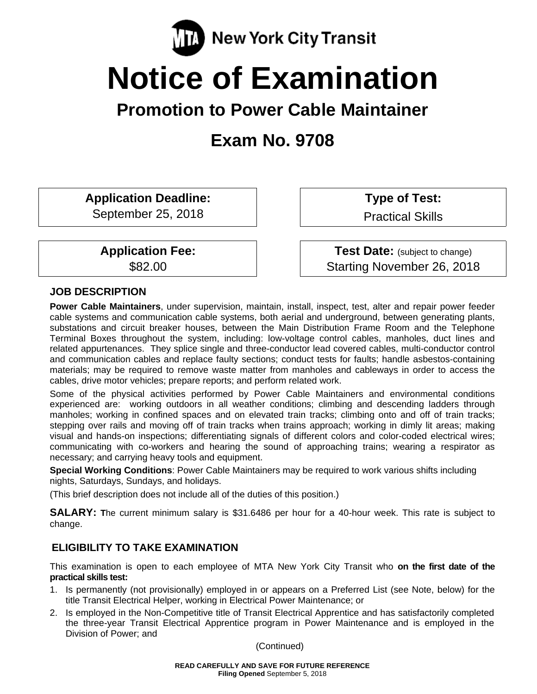

# **Notice of Examination**

# **Promotion to Power Cable Maintainer**

# **Exam No. 9708**

**Application Deadline:** 

September 25, 2018

**Application Fee:**  \$82.00

 **Type of Test:** 

Practical Skills

**Test Date:** (subject to change) Starting November 26, 2018

## **JOB DESCRIPTION**

**Power Cable Maintainers**, under supervision, maintain, install, inspect, test, alter and repair power feeder cable systems and communication cable systems, both aerial and underground, between generating plants, substations and circuit breaker houses, between the Main Distribution Frame Room and the Telephone Terminal Boxes throughout the system, including: low-voltage control cables, manholes, duct lines and related appurtenances. They splice single and three-conductor lead covered cables, multi-conductor control and communication cables and replace faulty sections; conduct tests for faults; handle asbestos-containing materials; may be required to remove waste matter from manholes and cableways in order to access the cables, drive motor vehicles; prepare reports; and perform related work.

Some of the physical activities performed by Power Cable Maintainers and environmental conditions experienced are: working outdoors in all weather conditions; climbing and descending ladders through manholes; working in confined spaces and on elevated train tracks; climbing onto and off of train tracks; stepping over rails and moving off of train tracks when trains approach; working in dimly lit areas; making visual and hands-on inspections; differentiating signals of different colors and color-coded electrical wires; communicating with co-workers and hearing the sound of approaching trains; wearing a respirator as necessary; and carrying heavy tools and equipment.

**Special Working Conditions**: Power Cable Maintainers may be required to work various shifts including nights, Saturdays, Sundays, and holidays.

(This brief description does not include all of the duties of this position.)

**SALARY: T**he current minimum salary is \$31.6486 per hour for a 40-hour week. This rate is subject to change.

# **ELIGIBILITY TO TAKE EXAMINATION**

This examination is open to each employee of MTA New York City Transit who **on the first date of the practical skills test:** 

- 1. Is permanently (not provisionally) employed in or appears on a Preferred List (see Note, below) for the title Transit Electrical Helper, working in Electrical Power Maintenance; or
- 2. Is employed in the Non-Competitive title of Transit Electrical Apprentice and has satisfactorily completed the three-year Transit Electrical Apprentice program in Power Maintenance and is employed in the Division of Power; and

(Continued)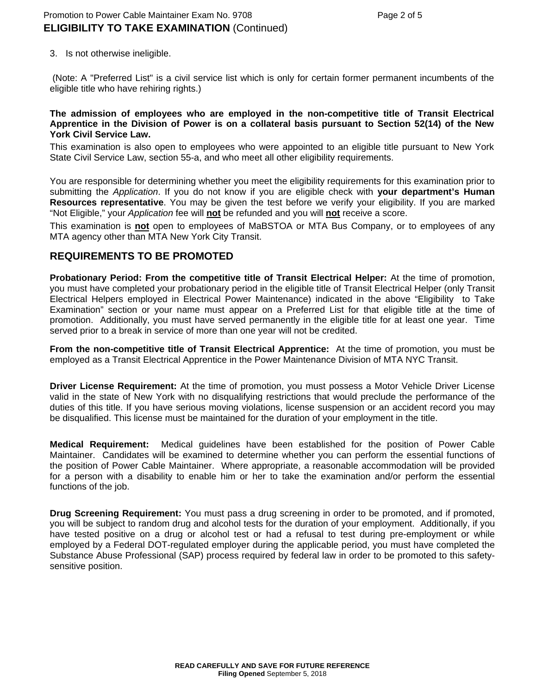3. Is not otherwise ineligible.

 (Note: A "Preferred List" is a civil service list which is only for certain former permanent incumbents of the eligible title who have rehiring rights.)

#### **The admission of employees who are employed in the non-competitive title of Transit Electrical Apprentice in the Division of Power is on a collateral basis pursuant to Section 52(14) of the New York Civil Service Law.**

This examination is also open to employees who were appointed to an eligible title pursuant to New York State Civil Service Law, section 55-a, and who meet all other eligibility requirements.

You are responsible for determining whether you meet the eligibility requirements for this examination prior to submitting the *Application*. If you do not know if you are eligible check with **your department's Human Resources representative**. You may be given the test before we verify your eligibility. If you are marked "Not Eligible," your *Application* fee will **not** be refunded and you will **not** receive a score.

This examination is **not** open to employees of MaBSTOA or MTA Bus Company, or to employees of any MTA agency other than MTA New York City Transit.

#### **REQUIREMENTS TO BE PROMOTED**

**Probationary Period: From the competitive title of Transit Electrical Helper:** At the time of promotion, you must have completed your probationary period in the eligible title of Transit Electrical Helper (only Transit Electrical Helpers employed in Electrical Power Maintenance) indicated in the above "Eligibility to Take Examination" section or your name must appear on a Preferred List for that eligible title at the time of promotion. Additionally, you must have served permanently in the eligible title for at least one year. Time served prior to a break in service of more than one year will not be credited.

**From the non-competitive title of Transit Electrical Apprentice:** At the time of promotion, you must be employed as a Transit Electrical Apprentice in the Power Maintenance Division of MTA NYC Transit.

**Driver License Requirement:** At the time of promotion, you must possess a Motor Vehicle Driver License valid in the state of New York with no disqualifying restrictions that would preclude the performance of the duties of this title. If you have serious moving violations, license suspension or an accident record you may be disqualified. This license must be maintained for the duration of your employment in the title.

**Medical Requirement:** Medical guidelines have been established for the position of Power Cable Maintainer. Candidates will be examined to determine whether you can perform the essential functions of the position of Power Cable Maintainer. Where appropriate, a reasonable accommodation will be provided for a person with a disability to enable him or her to take the examination and/or perform the essential functions of the job.

**Drug Screening Requirement:** You must pass a drug screening in order to be promoted, and if promoted, you will be subject to random drug and alcohol tests for the duration of your employment. Additionally, if you have tested positive on a drug or alcohol test or had a refusal to test during pre-employment or while employed by a Federal DOT-regulated employer during the applicable period, you must have completed the Substance Abuse Professional (SAP) process required by federal law in order to be promoted to this safetysensitive position.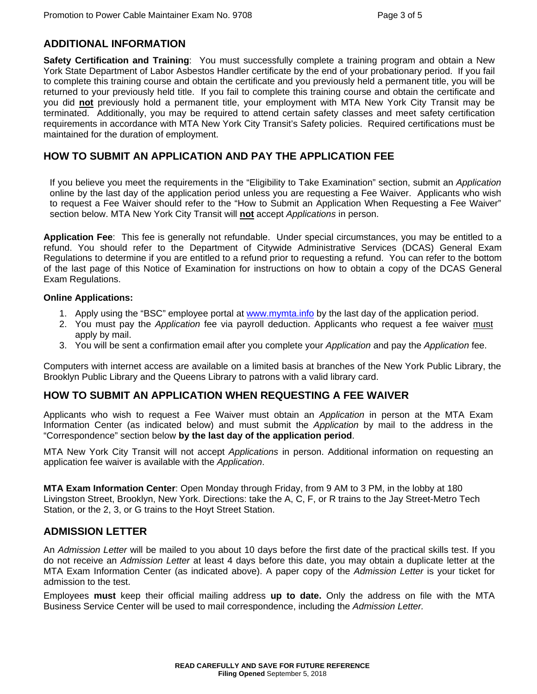#### **ADDITIONAL INFORMATION**

**Safety Certification and Training**: You must successfully complete a training program and obtain a New York State Department of Labor Asbestos Handler certificate by the end of your probationary period. If you fail to complete this training course and obtain the certificate and you previously held a permanent title, you will be returned to your previously held title. If you fail to complete this training course and obtain the certificate and you did **not** previously hold a permanent title, your employment with MTA New York City Transit may be terminated. Additionally, you may be required to attend certain safety classes and meet safety certification requirements in accordance with MTA New York City Transit's Safety policies. Required certifications must be maintained for the duration of employment.

# **HOW TO SUBMIT AN APPLICATION AND PAY THE APPLICATION FEE**

If you believe you meet the requirements in the "Eligibility to Take Examination" section, submit an *Application* online by the last day of the application period unless you are requesting a Fee Waiver. Applicants who wish to request a Fee Waiver should refer to the "How to Submit an Application When Requesting a Fee Waiver" section below. MTA New York City Transit will **not** accept *Applications* in person.

**Application Fee**: This fee is generally not refundable. Under special circumstances, you may be entitled to a refund. You should refer to the Department of Citywide Administrative Services (DCAS) General Exam Regulations to determine if you are entitled to a refund prior to requesting a refund. You can refer to the bottom of the last page of this Notice of Examination for instructions on how to obtain a copy of the DCAS General Exam Regulations.

#### **Online Applications:**

- 1. Apply using the "BSC" employee portal at www.mymta.info by the last day of the application period.
- 2. You must pay the *Application* fee via payroll deduction. Applicants who request a fee waiver must apply by mail.
- 3. You will be sent a confirmation email after you complete your *Application* and pay the *Application* fee.

Computers with internet access are available on a limited basis at branches of the New York Public Library, the Brooklyn Public Library and the Queens Library to patrons with a valid library card.

## **HOW TO SUBMIT AN APPLICATION WHEN REQUESTING A FEE WAIVER**

Applicants who wish to request a Fee Waiver must obtain an *Application* in person at the MTA Exam Information Center (as indicated below) and must submit the *Application* by mail to the address in the "Correspondence" section below **by the last day of the application period**.

MTA New York City Transit will not accept *Applications* in person. Additional information on requesting an application fee waiver is available with the *Application*.

**MTA Exam Information Center**: Open Monday through Friday, from 9 AM to 3 PM, in the lobby at 180 Livingston Street, Brooklyn, New York. Directions: take the A, C, F, or R trains to the Jay Street-Metro Tech Station, or the 2, 3, or G trains to the Hoyt Street Station.

#### **ADMISSION LETTER**

An *Admission Letter* will be mailed to you about 10 days before the first date of the practical skills test. If you do not receive an *Admission Letter* at least 4 days before this date, you may obtain a duplicate letter at the MTA Exam Information Center (as indicated above). A paper copy of the *Admission Letter* is your ticket for admission to the test.

Employees **must** keep their official mailing address **up to date.** Only the address on file with the MTA Business Service Center will be used to mail correspondence, including the *Admission Letter.*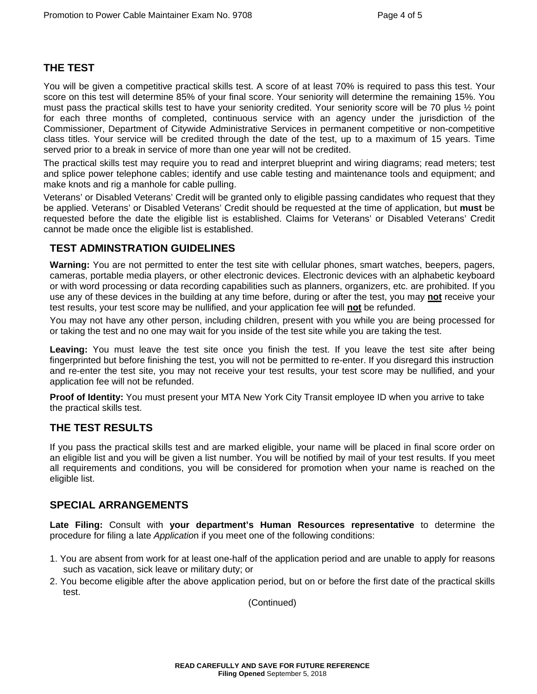# **THE TEST**

You will be given a competitive practical skills test. A score of at least 70% is required to pass this test. Your score on this test will determine 85% of your final score. Your seniority will determine the remaining 15%. You must pass the practical skills test to have your seniority credited. Your seniority score will be 70 plus ½ point for each three months of completed, continuous service with an agency under the jurisdiction of the Commissioner, Department of Citywide Administrative Services in permanent competitive or non-competitive class titles. Your service will be credited through the date of the test, up to a maximum of 15 years. Time served prior to a break in service of more than one year will not be credited.

The practical skills test may require you to read and interpret blueprint and wiring diagrams; read meters; test and splice power telephone cables; identify and use cable testing and maintenance tools and equipment; and make knots and rig a manhole for cable pulling.

Veterans' or Disabled Veterans' Credit will be granted only to eligible passing candidates who request that they be applied. Veterans' or Disabled Veterans' Credit should be requested at the time of application, but **must** be requested before the date the eligible list is established. Claims for Veterans' or Disabled Veterans' Credit cannot be made once the eligible list is established.

# **TEST ADMINSTRATION GUIDELINES**

**Warning:** You are not permitted to enter the test site with cellular phones, smart watches, beepers, pagers, cameras, portable media players, or other electronic devices. Electronic devices with an alphabetic keyboard or with word processing or data recording capabilities such as planners, organizers, etc. are prohibited. If you use any of these devices in the building at any time before, during or after the test, you may **not** receive your test results, your test score may be nullified, and your application fee will **not** be refunded.

You may not have any other person, including children, present with you while you are being processed for or taking the test and no one may wait for you inside of the test site while you are taking the test.

**Leaving:** You must leave the test site once you finish the test. If you leave the test site after being fingerprinted but before finishing the test, you will not be permitted to re-enter. If you disregard this instruction and re-enter the test site, you may not receive your test results, your test score may be nullified, and your application fee will not be refunded.

**Proof of Identity:** You must present your MTA New York City Transit employee ID when you arrive to take the practical skills test.

## **THE TEST RESULTS**

If you pass the practical skills test and are marked eligible, your name will be placed in final score order on an eligible list and you will be given a list number. You will be notified by mail of your test results. If you meet all requirements and conditions, you will be considered for promotion when your name is reached on the eligible list.

## **SPECIAL ARRANGEMENTS**

**Late Filing:** Consult with **your department's Human Resources representative** to determine the procedure for filing a late *Applicatio*n if you meet one of the following conditions:

- 1. You are absent from work for at least one-half of the application period and are unable to apply for reasons such as vacation, sick leave or military duty; or
- 2. You become eligible after the above application period, but on or before the first date of the practical skills test.

(Continued)